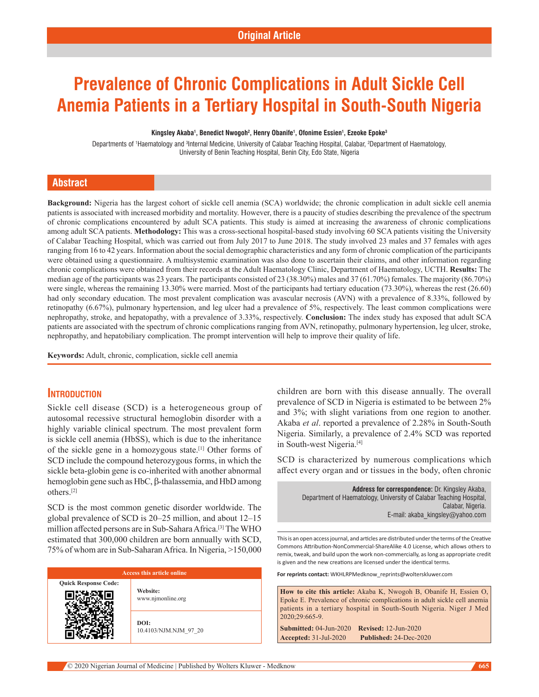# **Prevalence of Chronic Complications in Adult Sickle Cell Anemia Patients in a Tertiary Hospital in South-South Nigeria**

#### **Kingsley Akaba1 , Benedict Nwogoh2 , Henry Obanife1 , Ofonime Essien1 , Ezeoke Epoke3**

Departments of <sup>1</sup>Haematology and <sup>3</sup>Internal Medicine, University of Calabar Teaching Hospital, Calabar, <sup>2</sup>Department of Haematology, University of Benin Teaching Hospital, Benin City, Edo State, Nigeria

# **Abstract**

**Background:** Nigeria has the largest cohort of sickle cell anemia (SCA) worldwide; the chronic complication in adult sickle cell anemia patients is associated with increased morbidity and mortality. However, there is a paucity of studies describing the prevalence of the spectrum of chronic complications encountered by adult SCA patients. This study is aimed at increasing the awareness of chronic complications among adult SCA patients. Methodology: This was a cross-sectional hospital-based study involving 60 SCA patients visiting the University of Calabar Teaching Hospital, which was carried out from July 2017 to June 2018. The study involved 23 males and 37 females with ages ranging from 16 to 42 years. Information about the social demographic characteristics and any form of chronic complication of the participants were obtained using a questionnaire. A multisystemic examination was also done to ascertain their claims, and other information regarding chronic complications were obtained from their records at the Adult Haematology Clinic, Department of Haematology, UCTH. **Results:** The median age of the participants was 23 years. The participants consisted of 23 (38.30%) males and 37 (61.70%) females. The majority (86.70%) were single, whereas the remaining 13.30% were married. Most of the participants had tertiary education (73.30%), whereas the rest (26.60) had only secondary education. The most prevalent complication was avascular necrosis (AVN) with a prevalence of 8.33%, followed by retinopathy (6.67%), pulmonary hypertension, and leg ulcer had a prevalence of 5%, respectively. The least common complications were nephropathy, stroke, and hepatopathy, with a prevalence of 3.33%, respectively. **Conclusion:** The index study has exposed that adult SCA patients are associated with the spectrum of chronic complications ranging from AVN, retinopathy, pulmonary hypertension, leg ulcer, stroke, nephropathy, and hepatobiliary complication. The prompt intervention will help to improve their quality of life.

**Keywords:** Adult, chronic, complication, sickle cell anemia

# **Introduction**

Sickle cell disease (SCD) is a heterogeneous group of autosomal recessive structural hemoglobin disorder with a highly variable clinical spectrum. The most prevalent form is sickle cell anemia (HbSS), which is due to the inheritance of the sickle gene in a homozygous state.[1] Other forms of SCD include the compound heterozygous forms, in which the sickle beta-globin gene is co-inherited with another abnormal hemoglobin gene such as HbC, β-thalassemia, and HbD among others.[2]

SCD is the most common genetic disorder worldwide. The global prevalence of SCD is 20–25 million, and about 12–15 million affected persons are in Sub‑Sahara Africa.[3] The WHO estimated that 300,000 children are born annually with SCD, 75% of whom are in Sub‑Saharan Africa. In Nigeria, >150,000

#### **Access this article online Quick Response Code: Website:** www.njmonline.org

**DOI:** 10.4103/NJM.NJM\_97\_20 children are born with this disease annually. The overall prevalence of SCD in Nigeria is estimated to be between 2% and 3%; with slight variations from one region to another. Akaba *et al*. reported a prevalence of 2.28% in South-South Nigeria. Similarly, a prevalence of 2.4% SCD was reported in South-west Nigeria.<sup>[4]</sup>

SCD is characterized by numerous complications which affect every organ and or tissues in the body, often chronic

> **Address for correspondence:** Dr. Kingsley Akaba, Department of Haematology, University of Calabar Teaching Hospital, Calabar, Nigeria. E-mail: akaba\_kingsley@yahoo.com

This is an open access journal, and articles are distributed under the terms of the Creative Commons Attribution‑NonCommercial‑ShareAlike 4.0 License, which allows others to remix, tweak, and build upon the work non‑commercially, as long as appropriate credit is given and the new creations are licensed under the identical terms.

**For reprints contact:** WKHLRPMedknow\_reprints@wolterskluwer.com

**How to cite this article:** Akaba K, Nwogoh B, Obanife H, Essien O, Epoke E. Prevalence of chronic complications in adult sickle cell anemia patients in a tertiary hospital in South-South Nigeria. Niger J Med 2020;29:665-9.

**Submitted:** 04-Jun-2020 **Revised:** 12-Jun-2020 **Accepted:** 31-Jul-2020 **Published:** 24-Dec-2020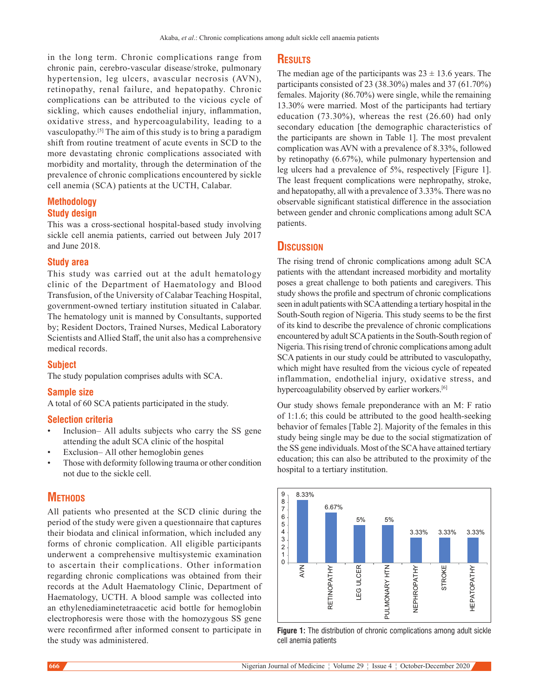in the long term. Chronic complications range from chronic pain, cerebro‑vascular disease/stroke, pulmonary hypertension, leg ulcers, avascular necrosis (AVN), retinopathy, renal failure, and hepatopathy. Chronic complications can be attributed to the vicious cycle of sickling, which causes endothelial injury, inflammation, oxidative stress, and hypercoagulability, leading to a vasculopathy.[5] The aim of this study is to bring a paradigm shift from routine treatment of acute events in SCD to the more devastating chronic complications associated with morbidity and mortality, through the determination of the prevalence of chronic complications encountered by sickle cell anemia (SCA) patients at the UCTH, Calabar.

# **Methodology Study design**

This was a cross‑sectional hospital-based study involving sickle cell anemia patients, carried out between July 2017 and June 2018.

#### **Study area**

This study was carried out at the adult hematology clinic of the Department of Haematology and Blood Transfusion, of the University of Calabar Teaching Hospital, government‑owned tertiary institution situated in Calabar. The hematology unit is manned by Consultants, supported by; Resident Doctors, Trained Nurses, Medical Laboratory Scientists and Allied Staff, the unit also has a comprehensive medical records.

#### **Subject**

The study population comprises adults with SCA.

#### **Sample size**

A total of 60 SCA patients participated in the study.

#### **Selection criteria**

- Inclusion- All adults subjects who carry the SS gene attending the adult SCA clinic of the hospital
- Exclusion– All other hemoglobin genes
- Those with deformity following trauma or other condition not due to the sickle cell.

# **METHODS**

All patients who presented at the SCD clinic during the period of the study were given a questionnaire that captures their biodata and clinical information, which included any forms of chronic complication. All eligible participants underwent a comprehensive multisystemic examination to ascertain their complications. Other information regarding chronic complications was obtained from their records at the Adult Haematology Clinic, Department of Haematology, UCTH. A blood sample was collected into an ethylenediaminetetraacetic acid bottle for hemoglobin electrophoresis were those with the homozygous SS gene were reconfirmed after informed consent to participate in the study was administered.

# **Results**

The median age of the participants was  $23 \pm 13.6$  years. The participants consisted of 23 (38.30%) males and 37 (61.70%) females. Majority (86.70%) were single, while the remaining 13.30% were married. Most of the participants had tertiary education (73.30%), whereas the rest (26.60) had only secondary education [the demographic characteristics of the participants are shown in Table 1]. The most prevalent complication was AVN with a prevalence of 8.33%, followed by retinopathy (6.67%), while pulmonary hypertension and leg ulcers had a prevalence of 5%, respectively [Figure 1]. The least frequent complications were nephropathy, stroke, and hepatopathy, all with a prevalence of 3.33%. There was no observable significant statistical difference in the association between gender and chronic complications among adult SCA patients.

#### **Discussion**

The rising trend of chronic complications among adult SCA patients with the attendant increased morbidity and mortality poses a great challenge to both patients and caregivers. This study shows the profile and spectrum of chronic complications seen in adult patients with SCA attending a tertiary hospital in the South-South region of Nigeria. This study seems to be the first of its kind to describe the prevalence of chronic complications encountered by adult SCA patients in the South-South region of Nigeria. This rising trend of chronic complications among adult SCA patients in our study could be attributed to vasculopathy, which might have resulted from the vicious cycle of repeated inflammation, endothelial injury, oxidative stress, and hypercoagulability observed by earlier workers.<sup>[6]</sup>

Our study shows female preponderance with an M: F ratio of 1:1.6; this could be attributed to the good health-seeking behavior of females [Table 2]. Majority of the females in this study being single may be due to the social stigmatization of the SS gene individuals. Most of the SCA have attained tertiary education; this can also be attributed to the proximity of the hospital to a tertiary institution.



**Figure 1:** The distribution of chronic complications among adult sickle cell anemia patients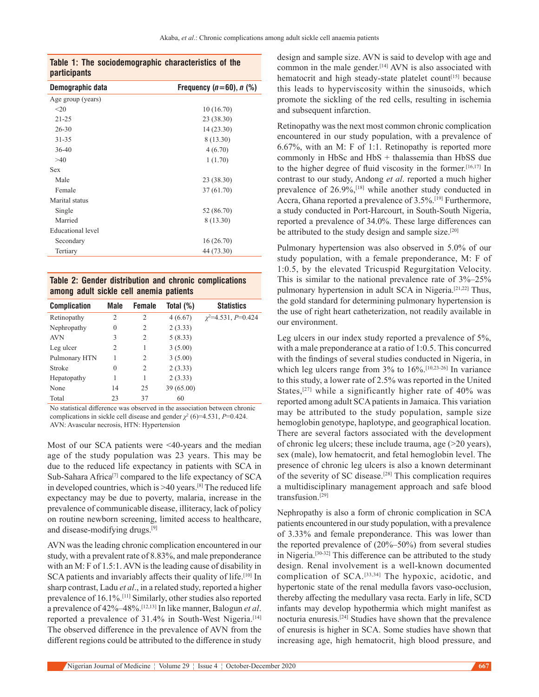|                     |  | Table 1: The sociodemographic characteristics of the |  |  |
|---------------------|--|------------------------------------------------------|--|--|
| <b>participants</b> |  |                                                      |  |  |

| Demographic data  | Frequency $(n=60)$ , n $(\%)$ |  |  |
|-------------------|-------------------------------|--|--|
| Age group (years) |                               |  |  |
| <20               | 10(16.70)                     |  |  |
| $21 - 25$         | 23 (38.30)                    |  |  |
| $26 - 30$         | 14(23.30)                     |  |  |
| $31 - 35$         | 8 (13.30)                     |  |  |
| $36 - 40$         | 4(6.70)                       |  |  |
| >40               | 1(1.70)                       |  |  |
| Sex               |                               |  |  |
| Male              | 23 (38.30)                    |  |  |
| Female            | 37 (61.70)                    |  |  |
| Marital status    |                               |  |  |
| Single            | 52 (86.70)                    |  |  |
| Married           | 8 (13.30)                     |  |  |
| Educational level |                               |  |  |
| Secondary         | 16(26.70)                     |  |  |
| Tertiary          | 44 (73.30)                    |  |  |
|                   |                               |  |  |

**Table 2: Gender distribution and chronic complications among adult sickle cell anemia patients**

| <b>Complication</b> | Male | <b>Female</b>  | Total (%)  | <b>Statistics</b>              |
|---------------------|------|----------------|------------|--------------------------------|
| Retinopathy         | 2    | 2              | 4(6.67)    | $\chi^2 = 4.531$ , $P = 0.424$ |
| Nephropathy         | 0    | 2              | 2(3.33)    |                                |
| <b>AVN</b>          | 3    | $\overline{2}$ | 5(8.33)    |                                |
| Leg ulcer           | 2    | 1              | 3(5.00)    |                                |
| Pulmonary HTN       |      | 2              | 3(5.00)    |                                |
| Stroke              | 0    | 2              | 2(3.33)    |                                |
| Hepatopathy         | 1    | 1              | 2(3.33)    |                                |
| None                | 14   | 25             | 39 (65.00) |                                |
| Total               | 23   | 37             | 60         |                                |

No statistical difference was observed in the association between chronic complications in sickle cell disease and gender  $\chi^2$  (6)=4.531, *P*=0.424. AVN: Avascular necrosis, HTN: Hypertension

Most of our SCA patients were <40-years and the median age of the study population was 23 years. This may be due to the reduced life expectancy in patients with SCA in Sub-Sahara Africa<sup>[7]</sup> compared to the life expectancy of SCA in developed countries, which is  $>40$  years.<sup>[8]</sup> The reduced life expectancy may be due to poverty, malaria, increase in the prevalence of communicable disease, illiteracy, lack of policy on routine newborn screening, limited access to healthcare, and disease-modifying drugs.<sup>[9]</sup>

AVN was the leading chronic complication encountered in our study, with a prevalent rate of 8.83%, and male preponderance with an M: F of 1.5:1. AVN is the leading cause of disability in SCA patients and invariably affects their quality of life.<sup>[10]</sup> In sharp contrast, Ladu *et al*., in a related study, reported a higher prevalence of 16.1%.[11] Similarly, other studies also reported a prevalence of 42%–48%.[12,13] In like manner, Balogun *et al*. reported a prevalence of 31.4% in South-West Nigeria.<sup>[14]</sup> The observed difference in the prevalence of AVN from the different regions could be attributed to the difference in study

design and sample size. AVN is said to develop with age and common in the male gender.<sup>[14]</sup> AVN is also associated with hematocrit and high steady-state platelet count<sup>[15]</sup> because this leads to hyperviscosity within the sinusoids, which promote the sickling of the red cells, resulting in ischemia and subsequent infarction.

Retinopathy was the next most common chronic complication encountered in our study population, with a prevalence of 6.67%, with an M: F of 1:1. Retinopathy is reported more commonly in HbSc and HbS + thalassemia than HbSS due to the higher degree of fluid viscosity in the former.[16,17] In contrast to our study, Andong *et al*. reported a much higher prevalence of 26.9%,[18] while another study conducted in Accra, Ghana reported a prevalence of 3.5%.[19] Furthermore, a study conducted in Port‑Harcourt, in South-South Nigeria, reported a prevalence of 34.0%. These large differences can be attributed to the study design and sample size.<sup>[20]</sup>

Pulmonary hypertension was also observed in 5.0% of our study population, with a female preponderance, M: F of 1:0.5, by the elevated Tricuspid Regurgitation Velocity. This is similar to the national prevalence rate of 3%–25% pulmonary hypertension in adult SCA in Nigeria.[21,22] Thus, the gold standard for determining pulmonary hypertension is the use of right heart catheterization, not readily available in our environment.

Leg ulcers in our index study reported a prevalence of 5%, with a male preponderance at a ratio of 1:0.5. This concurred with the findings of several studies conducted in Nigeria, in which leg ulcers range from 3% to 16%.<sup>[10,23-26]</sup> In variance to this study, a lower rate of 2.5% was reported in the United States,[27] while a significantly higher rate of 40% was reported among adult SCA patients in Jamaica. This variation may be attributed to the study population, sample size hemoglobin genotype, haplotype, and geographical location. There are several factors associated with the development of chronic leg ulcers; these include trauma, age (>20 years), sex (male), low hematocrit, and fetal hemoglobin level. The presence of chronic leg ulcers is also a known determinant of the severity of SC disease.[28] This complication requires a multidisciplinary management approach and safe blood transfusion.[29]

Nephropathy is also a form of chronic complication in SCA patients encountered in our study population, with a prevalence of 3.33% and female preponderance. This was lower than the reported prevalence of (20%–50%) from several studies in Nigeria.[30-32] This difference can be attributed to the study design. Renal involvement is a well-known documented complication of SCA.[33,34] The hypoxic, acidotic, and hypertonic state of the renal medulla favors vaso-occlusion, thereby affecting the medullary vasa recta. Early in life, SCD infants may develop hypothermia which might manifest as nocturia enuresis.[24] Studies have shown that the prevalence of enuresis is higher in SCA. Some studies have shown that increasing age, high hematocrit, high blood pressure, and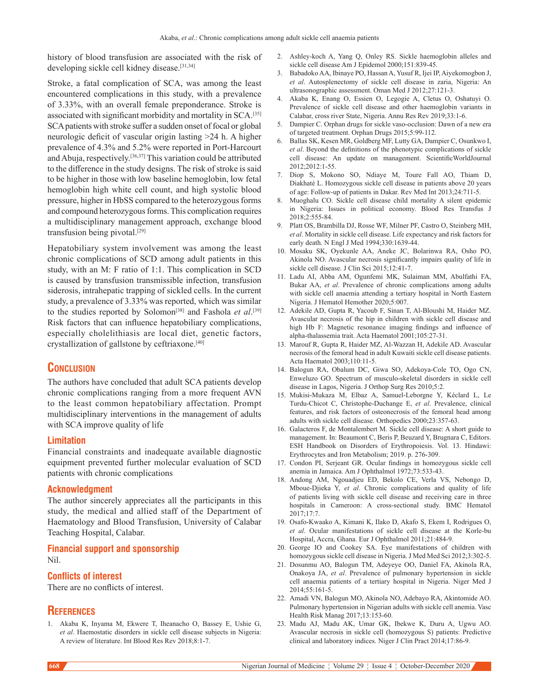history of blood transfusion are associated with the risk of developing sickle cell kidney disease.<sup>[31,34]</sup>

Stroke, a fatal complication of SCA, was among the least encountered complications in this study, with a prevalence of 3.33%, with an overall female preponderance. Stroke is associated with significant morbidity and mortality in SCA.<sup>[35]</sup> SCA patients with stroke suffer a sudden onset of focal or global neurologic deficit of vascular origin lasting >24 h. A higher prevalence of 4.3% and 5.2% were reported in Port‑Harcourt and Abuja, respectively.[36,37] This variation could be attributed to the difference in the study designs. The risk of stroke is said to be higher in those with low baseline hemoglobin, low fetal hemoglobin high white cell count, and high systolic blood pressure, higher in HbSS compared to the heterozygous forms and compound heterozygous forms. This complication requires a multidisciplinary management approach, exchange blood transfusion being pivotal.[29]

Hepatobiliary system involvement was among the least chronic complications of SCD among adult patients in this study, with an M: F ratio of 1:1. This complication in SCD is caused by transfusion transmissible infection, transfusion siderosis, intrahepatic trapping of sickled cells. In the current study, a prevalence of 3.33% was reported, which was similar to the studies reported by Solomon<sup>[38]</sup> and Fashola *et al*.<sup>[39]</sup> Risk factors that can influence hepatobiliary complications, especially cholelithiasis are local diet, genetic factors, crystallization of gallstone by ceftriaxone.[40]

# **Conclusion**

The authors have concluded that adult SCA patients develop chronic complications ranging from a more frequent AVN to the least common hepatobiliary affectation. Prompt multidisciplinary interventions in the management of adults with SCA improve quality of life

#### **Limitation**

Financial constraints and inadequate available diagnostic equipment prevented further molecular evaluation of SCD patients with chronic complications

#### **Acknowledgment**

The author sincerely appreciates all the participants in this study, the medical and allied staff of the Department of Haematology and Blood Transfusion, University of Calabar Teaching Hospital, Calabar.

## **Financial support and sponsorship** Nil.

### **Conflicts of interest**

There are no conflicts of interest.

# **References**

1. Akaba K, Inyama M, Ekwere T, Iheanacho O, Bassey E, Ushie G, *et al*. Haemostatic disorders in sickle cell disease subjects in Nigeria: A review of literature. Int Blood Res Rev 2018;8:1‑7.

- 2. Ashley‑koch A, Yang Q, Onley RS. Sickle haemoglobin alleles and sickle cell disease Am J Epidemol 2000;151:839-45.
- 3. Babadoko AA, Ibinaye PO, Hassan A, Yusuf R, Ijei IP, Aiyekomogbon J, *et al*. Autosplenectomy of sickle cell disease in zaria, Nigeria: An ultrasonographic assessment. Oman Med J 2012;27:121‑3.
- 4. Akaba K, Enang O, Essien O, Legogie A, Cletus O, Oshatuyi O. Prevalence of sickle cell disease and other haemoglobin variants in Calabar, cross river State, Nigeria. Annu Res Rev 2019;33:1‑6.
- 5. Dampier C. Orphan drugs for sickle vaso-occlusion: Dawn of a new era of targeted treatment. Orphan Drugs 2015;5:99‑112.
- 6. Ballas SK, Kesen MR, Goldberg MF, Lutty GA, Dampier C, Osunkwo I, *et al*. Beyond the definitions of the phenotypic complications of sickle cell disease: An update on management. ScientificWorldJournal 2012;2012:1-55.
- 7. Diop S, Mokono SO, Ndiaye M, Toure Fall AO, Thiam D, Diakhaté L. Homozygous sickle cell disease in patients above 20 years of age: Follow‑up of patients in Dakar. Rev Med Int 2013;24:711‑5.
- 8. Muoghalu CO. Sickle cell disease child mortality A silent epidemic in Nigeria: Issues in political economy. Blood Res Transfus J 2018;2:555‑84.
- 9. Platt OS, Brambilla DJ, Rosse WF, Milner PF, Castro O, Steinberg MH, *et al*. Mortality in sickle cell disease. Life expectancy and risk factors for early death. N Engl J Med 1994;330:1639-44.
- 10. Mosaku SK, Oyekunle AA, Aneke JC, Bolarinwa RA, Osho PO, Akinola NO. Avascular necrosis significantly impairs quality of life in sickle cell disease. J Clin Sci 2015;12:41-7.
- 11. Ladu AI, Abba AM, Ogunfemi MK, Sulaiman MM, Abulfathi FA, Bukar AA, *et al*. Prevalence of chronic complications among adults with sickle cell anaemia attending a tertiary hospital in North Eastern Nigeria. J Hematol Hemother 2020;5:007.
- 12. Adekile AD, Gupta R, Yacoub F, Sinan T, Al‑Bloushi M, Haider MZ. Avascular necrosis of the hip in children with sickle cell disease and high Hb F: Magnetic resonance imaging findings and influence of alpha‑thalassemia trait. Acta Haematol 2001;105:27‑31.
- 13. Marouf R, Gupta R, Haider MZ, Al‑Wazzan H, Adekile AD. Avascular necrosis of the femoral head in adult Kuwaiti sickle cell disease patients. Acta Haematol 2003;110:11‑5.
- 14. Balogun RA, Obalum DC, Giwa SO, Adekoya‑Cole TO, Ogo CN, Enweluzo GO. Spectrum of musculo‑skeletal disorders in sickle cell disease in Lagos, Nigeria. J Orthop Surg Res 2010;5:2.
- 15. Mukisi‑Mukaza M, Elbaz A, Samuel‑Leborgne Y, Kéclard L, Le Turdu‑Chicot C, Christophe‑Duchange E, *et al*. Prevalence, clinical features, and risk factors of osteonecrosis of the femoral head among adults with sickle cell disease. Orthopedics 2000;23:357‑63.
- 16. Galacteros F, de Montalembert M. Sickle cell disease: A short guide to management. In: Beaumont C, Beris P, Beuzard Y, Brugnara C, Editors. ESH Handbook on Disorders of Erythropoiesis. Vol. 13. Hindawi: Erythrocytes and Iron Metabolism; 2019. p. 276‑309.
- 17. Condon PI, Serjeant GR. Ocular findings in homozygous sickle cell anemia in Jamaica. Am J Ophthalmol 1972;73:533‑43.
- 18. Andong AM, Ngouadjeu ED, Bekolo CE, Verla VS, Nebongo D, Mboue‑Djieka Y, *et al*. Chronic complications and quality of life of patients living with sickle cell disease and receiving care in three hospitals in Cameroon: A cross-sectional study. BMC Hematol 2017;17:7.
- 19. Osafo‑Kwaako A, Kimani K, Ilako D, Akafo S, Ekem I, Rodrigues O, *et al*. Ocular manifestations of sickle cell disease at the Korle‑bu Hospital, Accra, Ghana. Eur J Ophthalmol 2011;21:484‑9.
- 20. George IO and Cookey SA. Eye manifestations of children with homozygous sickle cell disease in Nigeria. J Med Med Sci 2012;3:302-5.
- 21. Dosunmu AO, Balogun TM, Adeyeye OO, Daniel FA, Akinola RA, Onakoya JA, *et al*. Prevalence of pulmonary hypertension in sickle cell anaemia patients of a tertiary hospital in Nigeria. Niger Med J 2014;55:161‑5.
- 22. Amadi VN, Balogun MO, Akinola NO, Adebayo RA, Akintomide AO. Pulmonary hypertension in Nigerian adults with sickle cell anemia. Vasc Health Risk Manag 2017;13:153‑60.
- 23. Madu AJ, Madu AK, Umar GK, Ibekwe K, Duru A, Ugwu AO. Avascular necrosis in sickle cell (homozygous S) patients: Predictive clinical and laboratory indices. Niger J Clin Pract 2014;17:86‑9.